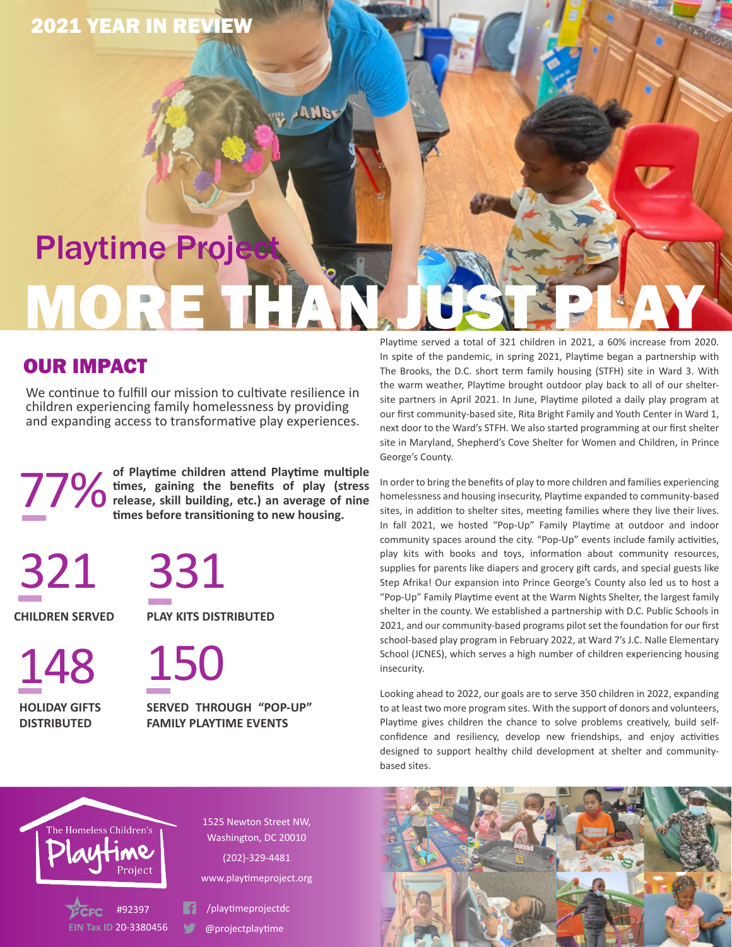# MORE **Playtime Proje**

ANGE

## OUR IMPACT

2021 YEAR IN REVIEW

We continue to fulfill our mission to cultivate resilience in children experiencing family homelessness by providing and expanding access to transformative play experiences.

77% **of Playtime children attend Playtime multiple times, gaining the benefits of play (stress**  *C* release, skill building, etc.) an average of nine **times before transitioning to new housing.** 

321 331

148 150 **HOLIDAY GIFTS DISTRIBUTED**

**CHILDREN SERVED PLAY KITS DISTRIBUTED**

**SERVED THROUGH "POP-UP" FAMILY PLAYTIME EVENTS**

Playtime served a total of 321 children in 2021, a 60% increase from 2020. In spite of the pandemic, in spring 2021, Playtime began a partnership with The Brooks, the D.C. short term family housing (STFH) site in Ward 3. With the warm weather, Playtime brought outdoor play back to all of our sheltersite partners in April 2021. In June, Playtime piloted a daily play program at our first community-based site, Rita Bright Family and Youth Center in Ward 1, next door to the Ward's STFH. We also started programming at our first shelter site in Maryland, Shepherd's Cove Shelter for Women and Children, in Prince George's County.

In order to bring the benefits of play to more children and families experiencing homelessness and housing insecurity, Playtime expanded to community-based sites, in addition to shelter sites, meeting families where they live their lives. In fall 2021, we hosted "Pop-Up" Family Playtime at outdoor and indoor community spaces around the city. "Pop-Up" events include family activities, play kits with books and toys, information about community resources, supplies for parents like diapers and grocery gift cards, and special guests like Step Afrika! Our expansion into Prince George's County also led us to host a "Pop-Up" Family Playtime event at the Warm Nights Shelter, the largest family shelter in the county. We established a partnership with D.C. Public Schools in 2021, and our community-based programs pilot set the foundation for our first school-based play program in February 2022, at Ward 7's J.C. Nalle Elementary School (JCNES), which serves a high number of children experiencing housing insecurity.

Looking ahead to 2022, our goals are to serve 350 children in 2022, expanding to at least two more program sites. With the support of donors and volunteers, Playtime gives children the chance to solve problems creatively, build selfconfidence and resiliency, develop new friendships, and enjoy activities designed to support healthy child development at shelter and communitybased sites.



1525 Newton Street NW, Washington, DC 20010 (202}-329-4481 www.playtimeproject.org

#92397 /playtimeprojectdc

**EIN Tax ID** 20-3380456 @projectplaytime